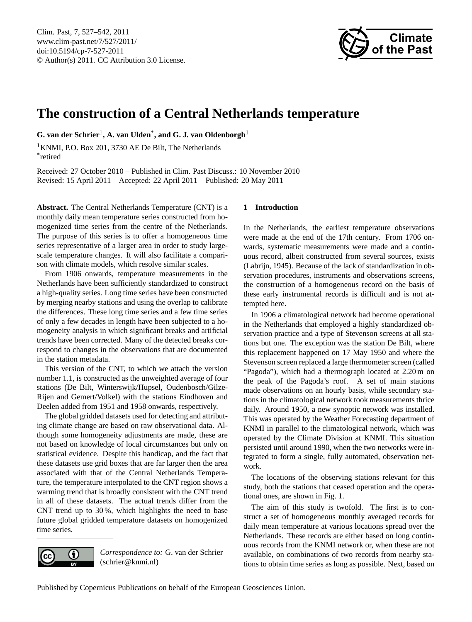<span id="page-0-0"></span>Clim. Past, 7, 527–542, 2011 www.clim-past.net/7/527/2011/ doi:10.5194/cp-7-527-2011 © Author(s) 2011. CC Attribution 3.0 License.



# **The construction of a Central Netherlands temperature**

**G. van der Schrier**<sup>1</sup> **, A. van Ulden**\* **, and G. J. van Oldenborgh**<sup>1</sup>

<sup>1</sup>KNMI, P.O. Box 201, 3730 AE De Bilt, The Netherlands \* retired

Received: 27 October 2010 – Published in Clim. Past Discuss.: 10 November 2010 Revised: 15 April 2011 – Accepted: 22 April 2011 – Published: 20 May 2011

**Abstract.** The Central Netherlands Temperature (CNT) is a monthly daily mean temperature series constructed from homogenized time series from the centre of the Netherlands. The purpose of this series is to offer a homogeneous time series representative of a larger area in order to study largescale temperature changes. It will also facilitate a comparison with climate models, which resolve similar scales.

From 1906 onwards, temperature measurements in the Netherlands have been sufficiently standardized to construct a high-quality series. Long time series have been constructed by merging nearby stations and using the overlap to calibrate the differences. These long time series and a few time series of only a few decades in length have been subjected to a homogeneity analysis in which significant breaks and artificial trends have been corrected. Many of the detected breaks correspond to changes in the observations that are documented in the station metadata.

This version of the CNT, to which we attach the version number 1.1, is constructed as the unweighted average of four stations (De Bilt, Winterswijk/Hupsel, Oudenbosch/Gilze-Rijen and Gemert/Volkel) with the stations Eindhoven and Deelen added from 1951 and 1958 onwards, respectively.

The global gridded datasets used for detecting and attributing climate change are based on raw observational data. Although some homogeneity adjustments are made, these are not based on knowledge of local circumstances but only on statistical evidence. Despite this handicap, and the fact that these datasets use grid boxes that are far larger then the area associated with that of the Central Netherlands Temperature, the temperature interpolated to the CNT region shows a warming trend that is broadly consistent with the CNT trend in all of these datasets. The actual trends differ from the CNT trend up to 30 %, which highlights the need to base future global gridded temperature datasets on homogenized time series.

 $\left( \cdot \right)$ 

(cc

*Correspondence to:* G. van der Schrier (schrier@knmi.nl)

## **1 Introduction**

In the Netherlands, the earliest temperature observations were made at the end of the 17th century. From 1706 onwards, systematic measurements were made and a continuous record, albeit constructed from several sources, exists [\(Labrijn,](#page-14-0) [1945\)](#page-14-0). Because of the lack of standardization in observation procedures, instruments and observations screens, the construction of a homogeneous record on the basis of these early instrumental records is difficult and is not attempted here.

In 1906 a climatological network had become operational in the Netherlands that employed a highly standardized observation practice and a type of Stevenson screens at all stations but one. The exception was the station De Bilt, where this replacement happened on 17 May 1950 and where the Stevenson screen replaced a large thermometer screen (called "Pagoda"), which had a thermograph located at 2.20 m on the peak of the Pagoda's roof. A set of main stations made observations on an hourly basis, while secondary stations in the climatological network took measurements thrice daily. Around 1950, a new synoptic network was installed. This was operated by the Weather Forecasting department of KNMI in parallel to the climatological network, which was operated by the Climate Division at KNMI. This situation persisted until around 1990, when the two networks were integrated to form a single, fully automated, observation network.

The locations of the observing stations relevant for this study, both the stations that ceased operation and the operational ones, are shown in Fig. [1.](#page-1-0)

The aim of this study is twofold. The first is to construct a set of homogeneous monthly averaged records for daily mean temperature at various locations spread over the Netherlands. These records are either based on long continuous records from the KNMI network or, when these are not available, on combinations of two records from nearby stations to obtain time series as long as possible. Next, based on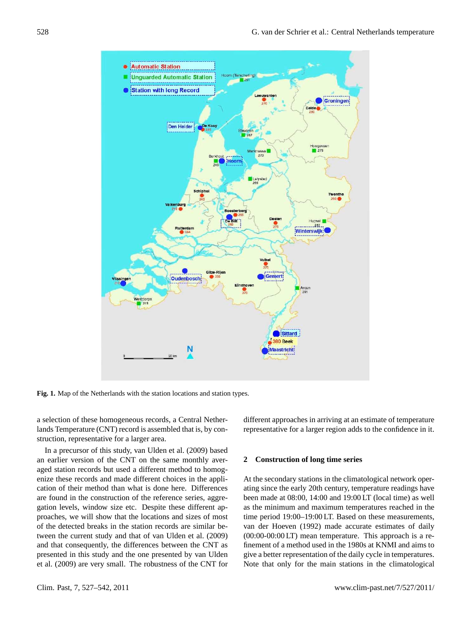

<span id="page-1-0"></span>**Fig. 1.** Map of the Netherlands with the station locations and station types.

a selection of these homogeneous records, a Central Netherlands Temperature (CNT) record is assembled that is, by construction, representative for a larger area.

an earner version of the CNT on the same monthly aver-<br>aged station records but used a different method to homogare found in the construction of the reference series, aggre-<br>been made at 08:00, 14:00 and 19:00 LT (local gation levels, while what the locations and sizes of most time period 19 proaches, we will show that the locations and sizes of most and that consequently, the differences between the CNT as finement of a method used in the 1980s at KNM presented in this study and the one presented by van elden give a better representation of the darry cycle in e<br>[et al.](#page-15-0) [\(2009\)](#page-15-0) are very small. The robustness of the CNT for Note that only for the main stations in the c In a precursor of this study, [van Ulden et al.](#page-15-0) [\(2009\)](#page-15-0) based an earlier version of the CNT on the same monthly averenize these records and made different choices in the application of their method than what is done here. Differences gation levels, window size etc. Despite these different apof the detected breaks in the station records are similar between the current study and that of [van Ulden et al.](#page-15-0) [\(2009\)](#page-15-0) presented in this study and the one presented by [van Ulden](#page-15-0)

different approaches in arriving at an estimate of temperature representative for a larger region adds to the confidence in it.

## <span id="page-1-1"></span>**2 Construction of long time series**

ecords and made different choices in the appli-<br>
At the secondary stations in the climatological network oper-<br>
in method than what is done here. Differences or breaks in the station records are similar be-<br>t study and that of van Ulden et al. (2009) based (00:00-00:00 UT) mean temperature. This approach is a rethe true 24-h mean to within  $h$  and  $\theta$ . well land the entry averaged temperatures are  $\frac{1}{2}$  $\overline{\text{m}}$  to the De Biltz of the De Biltz of the De Biltz of the De Biltz of the De Biltz of the De Biltz of the De Biltz of the De Biltz of the De Biltz of the De Biltz of the De Biltz of the De Biltz of the De Biltz of where it will be in the set of the set of the set of the set of the set of the set of the set of the set of the set of the set of the set of the set of the set of the set of the set of the set of the set of the set of the ating since the early 20th century, temperature readings have been made at 08:00, 14:00 and 19:00 LT (local time) as well as the minimum and maximum temperatures reached in the time period 19:00–19:00 LT. Based on these measurements, (00:00-00:00 LT) mean temperature. This approach is a refinement of a method used in the 1980s at KNMI and aims to give a better representation of the daily cycle in temperatures. Note that only for the main stations in the climatological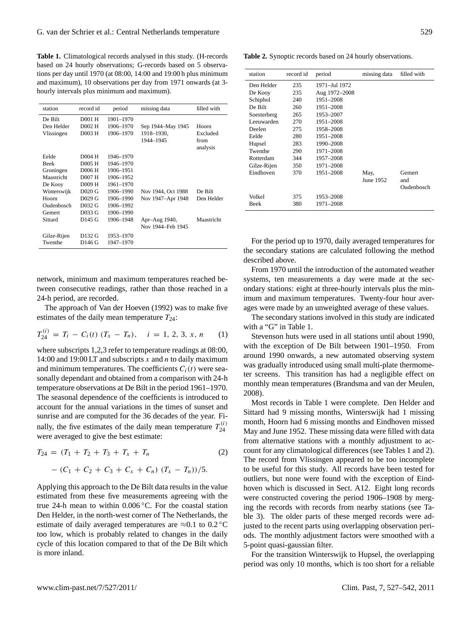<span id="page-2-0"></span>**Table 1.** Climatological records analysed in this study. (H-records based on 24 hourly observations; G-records based on 5 observations per day until 1970 (at 08:00, 14:00 and 19:00 h plus minimum and maximum), 10 observations per day from 1971 onwards (at 3 hourly intervals plus minimum and maximum).

| station     | record id           | period    | missing data       | filled with      |
|-------------|---------------------|-----------|--------------------|------------------|
| De Bilt     | D <sub>001</sub> H  | 1901-1970 |                    |                  |
| Den Helder  | D <sub>002</sub> H  | 1906-1970 | Sep 1944–May 1945  | Hoorn            |
| Vlissingen  | D003 H              | 1906-1970 | 1918-1930,         | Excluded         |
|             |                     |           | 1944-1945          | from<br>analysis |
| Eelde       | D004 H              | 1946-1970 |                    |                  |
| <b>Beek</b> | D <sub>005</sub> H  | 1946-1970 |                    |                  |
| Groningen   | D006 H              | 1906-1951 |                    |                  |
| Maastricht  | D007 H              | 1906-1952 |                    |                  |
| De Kooy     | D <sub>00</sub> 9 H | 1961-1970 |                    |                  |
| Winterswijk | $D020$ G            | 1906-1990 | Nov 1944, Oct 1988 | De Bilt          |
| Hoorn       | D029 G              | 1906-1990 | Nov 1947–Apr 1948  | Den Helder       |
| Oudenbosch  | D032 G              | 1906-1992 |                    |                  |
| Gemert      | D033 G              | 1906-1990 |                    |                  |
| Sittard     | D145 G              | 1906-1948 | Apr-Aug 1940,      | Maastricht       |
|             |                     |           | Nov 1944–Feb 1945  |                  |
| Gilze-Rijen | D132 G              | 1953-1970 |                    |                  |
| Twenthe     | D146 G              | 1947-1970 |                    |                  |

network, minimum and maximum temperatures reached between consecutive readings, rather than those reached in a 24-h period, are recorded.

The approach of Van der Hoeven (1992) was to make five estimates of the daily mean temperature  $T_{24}$ :

$$
T_{24}^{(i)} = T_i - C_i(t) (T_x - T_n), \quad i = 1, 2, 3, x, n \qquad (1)
$$

where subscripts 1,2,3 refer to temperature readings at 08:00, 14:00 and 19:00 LT and subscripts x and n to daily maximum and minimum temperatures. The coefficients  $C_i(t)$  were seasonally dependant and obtained from a comparison with 24-h temperature observations at De Bilt in the period 1961–1970. The seasonal dependence of the coefficients is introduced to account for the annual variations in the times of sunset and sunrise and are computed for the 36 decades of the year. Finally, the five estimates of the daily mean temperature  $T_{24}^{(i)}$ 24 were averaged to give the best estimate:

<span id="page-2-2"></span>
$$
T_{24} = (T_1 + T_2 + T_3 + T_x + T_n \tag{2}
$$

$$
- (C_1 + C_2 + C_3 + C_x + C_n) (T_x - T_n) / 5.
$$

Applying this approach to the De Bilt data results in the value estimated from these five measurements agreeing with the true 24-h mean to within 0.006 ◦C. For the coastal station Den Helder, in the north-west corner of The Netherlands, the estimate of daily averaged temperatures are  $\approx 0.1$  to 0.2 °C too low, which is probably related to changes in the daily cycle of this location compared to that of the De Bilt which is more inland.

<span id="page-2-1"></span>**Table 2.** Synoptic records based on 24 hourly observations.

| record id |               |                                      | filled with  |
|-----------|---------------|--------------------------------------|--------------|
|           |               |                                      |              |
|           |               |                                      |              |
| 235       | Aug 1972-2008 |                                      |              |
| 240       | 1951-2008     |                                      |              |
| 260       | 1951-2008     |                                      |              |
| 265       | 1953-2007     |                                      |              |
| 270       | 1951–2008     |                                      |              |
| 275       | 1958-2008     |                                      |              |
| 280       | 1951-2008     |                                      |              |
| 283       | 1990-2008     |                                      |              |
| 290       | 1971-2008     |                                      |              |
| 344       | 1957-2008     |                                      |              |
| 350       | 1971-2008     |                                      |              |
| 370       | 1951-2008     | May,                                 | Gemert       |
|           |               | June 1952                            | and          |
|           |               |                                      | Oudenbosch   |
| 375       |               |                                      |              |
| 380       | 1971-2008     |                                      |              |
|           | 235           | period<br>1971–Jul 1972<br>1953-2008 | missing data |

For the period up to 1970, daily averaged temperatures for the secondary stations are calculated following the method described above.

From 1970 until the introduction of the automated weather systems, ten measurements a day were made at the secondary stations: eight at three-hourly intervals plus the minimum and maximum temperatures. Twenty-four hour averages were made by an unweighted average of these values.

The secondary stations involved in this study are indicated with a "G" in Table [1.](#page-2-0)

Stevenson huts were used in all stations until about 1990, with the exception of De Bilt between 1901–1950. From around 1990 onwards, a new automated observing system was gradually introduced using small multi-plate thermometer screens. This transition has had a negligible effect on monthly mean temperatures [\(Brandsma and van der Meulen,](#page-14-1) [2008\)](#page-14-1).

Most records in Table [1](#page-2-0) were complete. Den Helder and Sittard had 9 missing months, Winterswijk had 1 missing month, Hoorn had 6 missing months and Eindhoven missed May and June 1952. These missing data were filled with data from alternative stations with a monthly adjustment to account for any climatological differences (see Tables [1](#page-2-0) and [2\)](#page-2-1). The record from Vlissingen appeared to be too incomplete to be useful for this study. All records have been tested for outliers, but none were found with the exception of Eindhoven which is discussed in Sect. A12. Eight long records were constructed covering the period 1906–1908 by merging the records with records from nearby stations (see Table [3\)](#page-3-0). The older parts of these merged records were adjusted to the recent parts using overlapping observation periods. The monthly adjustment factors were smoothed with a 5-point quasi-gaussian filter.

For the transition Winterswijk to Hupsel, the overlapping period was only 10 months, which is too short for a reliable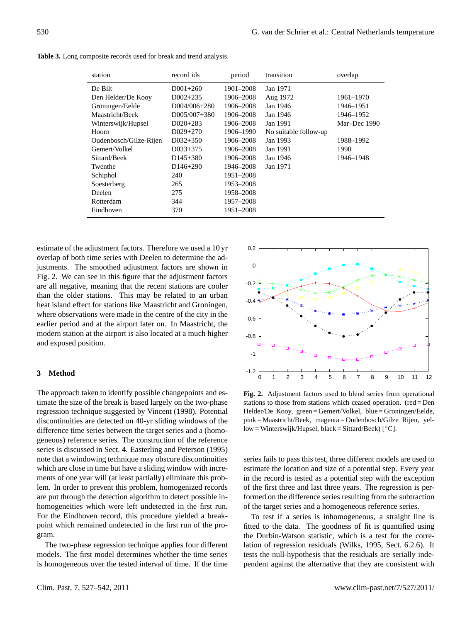| station                | record ids           | period    | transition            | overlap      |
|------------------------|----------------------|-----------|-----------------------|--------------|
| De Bilt                | $D001+260$           | 1901-2008 | Jan 1971              |              |
| Den Helder/De Kooy     | $D002+235$           | 1906-2008 | Aug 1972              | 1961–1970    |
| Groningen/Eelde        | D004/006+280         | 1906-2008 | Jan 1946              | 1946-1951    |
| Maastricht/Beek        | $D005/007+380$       | 1906-2008 | Jan 1946              | 1946–1952    |
| Winterswijk/Hupsel     | $D020+283$           | 1906-2008 | Jan 1991              | Mar-Dec 1990 |
| Hoorn                  | $D029+270$           | 1906–1990 | No suitable follow-up |              |
| Oudenbosch/Gilze-Rijen | $D032+350$           | 1906-2008 | Jan 1993              | 1988-1992    |
| Gemert/Volkel          | $D033+375$           | 1906-2008 | Jan 1991              | 1990         |
| Sittard/Beek           | $D145+380$           | 1906–2008 | Jan 1946              | 1946–1948    |
| Twenthe                | D <sub>146+290</sub> | 1946–2008 | Jan 1971              |              |
| Schiphol               | 240                  | 1951–2008 |                       |              |
| Soesterberg            | 265                  | 1953-2008 |                       |              |
| Deelen                 | 275                  | 1958–2008 |                       |              |
| Rotterdam              | 344                  | 1957–2008 |                       |              |
| Eindhoven              | 370                  | 1951–2008 |                       |              |

<span id="page-3-0"></span>**Table 3.** Long composite records used for break and trend analysis.

estimate of the adjustment factors. Therefore we used a 10 yr overlap of both time series with Deelen to determine the adjustments. The smoothed adjustment factors are shown in Fig. 2. We can see in this figure that the adjustment factors are all negative, meaning that the recent stations are cooler than the older stations. This may be related to an urban heat island effect for stations like Maastricht and Groningen, where observations were made in the centre of the city in the earlier period and at the airport later on. In Maastricht, the modern station at the airport is also located at a much higher and exposed position.

## <span id="page-3-2"></span>3 Method

The approach taken to identify possible changepoints and estimate the size of the break is based largely on the two-phase regression technique suggested by [Vincent](#page-15-2) [\(1998\)](#page-15-2). Potential discontinuities are detected on 40-yr sliding windows of the difference time series between the target series and a (homogeneous) reference series. The construction of the reference series is discussed in Sect. [4.](#page-4-0) [Easterling and Peterson](#page-14-2) [\(1995\)](#page-14-2) note that a windowing technique may obscure discontinuities which are close in time but have a sliding window with increments of one year will (at least partially) eliminate this problem. In order to prevent this problem, homogenized records are put through the detection algorithm to detect possible inhomogeneities which were left undetected in the first run. For the Eindhoven record, this procedure yielded a breakpoint which remained undetected in the first run of the program.  $\gamma$  gram.

The two-phase regression technique applies four different models. The first model determines whether the time series. is homogeneous over the tested interval of time. If the time  $t_{\rm eff}$  note that a windowing technique may obscure may obscure may obscure may obscure may obscure



<span id="page-3-1"></span>**Fig. 2.** Adjustment factors used to blend series from operational **Fig. 2.** Adjustment factors used to blend series from operational stations to those from stations which ceased operation. (red=Den stations to those from stations which ceased operation. (red = Den Helder/De Kooy, green=Gemert/Volkel, blue=Groningen/Eelde, Helder/De Kooy, green = Gemert/Volkel, blue = Groningen/Eelde, pink=Maastricht/Beek, magenta=Oudenbosch/Gilze Rijen, yel-pink = Maastricht/Beek, magenta = Oudenbosch/Gilze Rijen, yel $low = Winterswijk/Hupsel, black = Sittard/Beek$ ) [°C].

series fails to pass this test, three different models are used to estimate the location and size of a potential step. Every year in the record is tested as a potential step with the exception of the first three and last three years. The regression is performed on the difference series resulting from the subtraction of the target series and a homogeneous reference series.

To test if a series is inhomogeneous, a straight line is fitted to the data. The goodness of fit is quantified using the Durbin-Watson statistic, which is a test for the corre-lation of regression residuals [\(Wilks,](#page-15-3) [1995,](#page-15-3) Sect. 6.2.6). It tests the null-hypothesis that the residuals are serially independent against the alternative that they are consistent with  $\mathbf{t}$  to estimate the location and size of potential step. Every year  $\mathbf{t}$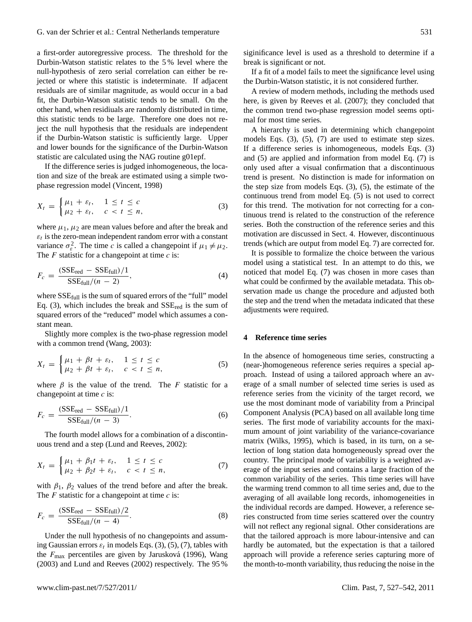a first-order autoregressive process. The threshold for the Durbin-Watson statistic relates to the 5 % level where the null-hypothesis of zero serial correlation can either be rejected or where this statistic is indeterminate. If adjacent residuals are of similar magnitude, as would occur in a bad fit, the Durbin-Watson statistic tends to be small. On the other hand, when residiuals are randomly distributed in time, this statistic tends to be large. Therefore one does not reject the null hypothesis that the residuals are independent if the Durbin-Watson statistic is sufficiently large. Upper and lower bounds for the significance of the Durbin-Watson statistic are calculated using the NAG routine g01epf.

If the difference series is judged inhomogeneous, the location and size of the break are estimated using a simple twophase regression model [\(Vincent,](#page-15-2) [1998\)](#page-15-2)

<span id="page-4-1"></span>
$$
X_t = \begin{cases} \mu_1 + \varepsilon_t, & 1 \le t \le c \\ \mu_2 + \varepsilon_t, & c < t \le n, \end{cases}
$$
 (3)

where  $\mu_1$ ,  $\mu_2$  are mean values before and after the break and  $\varepsilon_t$  is the zero-mean independent random error with a constant variance  $\sigma_{\varepsilon}^2$ . The time c is called a changepoint if  $\mu_1 \neq \mu_2$ . The  $F$  statistic for a changepoint at time  $c$  is:

$$
F_c = \frac{(SSE_{\text{red}} - SSE_{\text{full}})/1}{SSE_{\text{full}}/(n-2)},\tag{4}
$$

where  $SSE_{full}$  is the sum of squared errors of the "full" model Eq. [\(3\)](#page-4-1), which includes the break and  $SSE_{red}$  is the sum of squared errors of the "reduced" model which assumes a constant mean.

Slightly more complex is the two-phase regression model with a common trend [\(Wang,](#page-15-4) [2003\)](#page-15-4):

<span id="page-4-2"></span>
$$
X_t = \begin{cases} \mu_1 + \beta t + \varepsilon_t, & 1 \le t \le c \\ \mu_2 + \beta t + \varepsilon_t, & c < t \le n, \end{cases}
$$
 (5)

where  $\beta$  is the value of the trend. The F statistic for a changepoint at time  $c$  is:

$$
F_c = \frac{(SSE_{\text{red}} - SSE_{\text{full}})/1}{SSE_{\text{full}}/(n-3)}.
$$
 (6)

The fourth model allows for a combination of a discontinuous trend and a step [\(Lund and Reeves,](#page-14-3) [2002\)](#page-14-3):

<span id="page-4-3"></span>
$$
X_t = \begin{cases} \mu_1 + \beta_1 t + \varepsilon_t, & 1 \le t \le c \\ \mu_2 + \beta_2 t + \varepsilon_t, & c < t \le n, \end{cases}
$$
(7)

with  $\beta_1$ ,  $\beta_2$  values of the trend before and after the break. The  $F$  statistic for a changepoint at time  $c$  is:

$$
F_c = \frac{(SSE_{\text{red}} - SSE_{\text{full}})/2}{SSE_{\text{full}}/(n-4)}.
$$
 (8)

Under the null hypothesis of no changepoints and assuming Gaussian errors  $\varepsilon_t$  in models Eqs. [\(3\)](#page-4-1), [\(5\)](#page-4-2), [\(7\)](#page-4-3), tables with the  $F_{\text{max}}$  percentiles are given by Jarusková [\(1996\)](#page-14-4), [Wang](#page-15-4) [\(2003\)](#page-15-4) and [Lund and Reeves](#page-14-3) [\(2002\)](#page-14-3) respectively. The 95 %

siginificance level is used as a threshold to determine if a break is significant or not.

If a fit of a model fails to meet the significance level using the Durbin-Watson statistic, it is not considered further.

A review of modern methods, including the methods used here, is given by [Reeves et al.](#page-15-5) [\(2007\)](#page-15-5); they concluded that the common trend two-phase regression model seems optimal for most time series.

A hierarchy is used in determining which changepoint models Eqs. [\(3\)](#page-4-1), [\(5\)](#page-4-2), [\(7\)](#page-4-3) are used to estimate step sizes. If a difference series is inhomogeneous, models Eqs. [\(3\)](#page-4-1) and [\(5\)](#page-4-2) are applied and information from model Eq. [\(7\)](#page-4-3) is only used after a visual confirmation that a discontinuous trend is present. No distinction is made for information on the step size from models Eqs. [\(3\)](#page-4-1), [\(5\)](#page-4-2), the estimate of the continuous trend from model Eq. [\(5\)](#page-4-2) is not used to correct for this trend. The motivation for not correcting for a continuous trend is related to the construction of the reference series. Both the construction of the reference series and this motivation are discussed in Sect. [4.](#page-4-0) However, discontinuous trends (which are output from model Eq. [7\)](#page-4-3) are corrected for.

It is possible to formalize the choice between the various model using a statistical test. In an attempt to do this, we noticed that model Eq. [\(7\)](#page-4-3) was chosen in more cases than what could be confirmed by the available metadata. This observation made us change the procedure and adjusted both the step and the trend when the metadata indicated that these adjustments were required.

## <span id="page-4-0"></span>**4 Reference time series**

In the absence of homogeneous time series, constructing a (near-)homogeneous reference series requires a special approach. Instead of using a tailored approach where an average of a small number of selected time series is used as reference series from the vicinity of the target record, we use the most dominant mode of variability from a Principal Component Analysis (PCA) based on all available long time series. The first mode of variability accounts for the maximum amount of joint variability of the variance-covariance matrix [\(Wilks,](#page-15-3) [1995\)](#page-15-3), which is based, in its turn, on a selection of long station data homogeneously spread over the country. The principal mode of variability is a weighted average of the input series and contains a large fraction of the common variability of the series. This time series will have the warming trend common to all time series and, due to the averaging of all available long records, inhomogeneities in the individual records are damped. However, a reference series constructed from time series scattered over the country will not reflect any regional signal. Other considerations are that the tailored approach is more labour-intensive and can hardly be automated, but the expectation is that a tailored approach will provide a reference series capturing more of the month-to-month variability, thus reducing the noise in the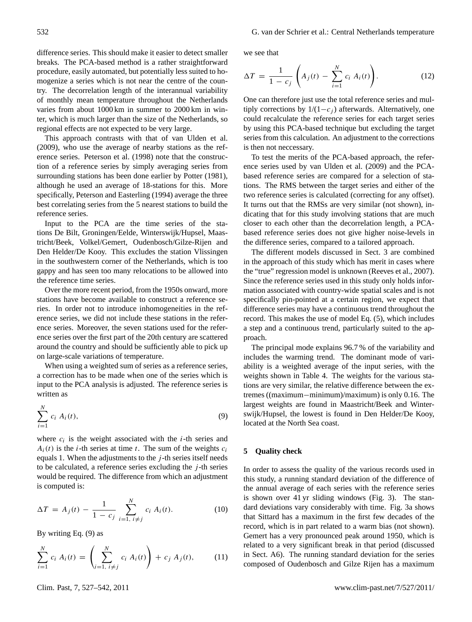difference series. This should make it easier to detect smaller breaks. The PCA-based method is a rather straightforward procedure, easily automated, but potentially less suited to homogenize a series which is not near the centre of the country. The decorrelation length of the interannual variability of monthly mean temperature throughout the Netherlands varies from about 1000 km in summer to 2000 km in winter, which is much larger than the size of the Netherlands, so regional effects are not expected to be very large.

This approach contrasts with that of [van Ulden et al.](#page-15-0) [\(2009\)](#page-15-0), who use the average of nearby stations as the reference series. [Peterson et al.](#page-15-6) [\(1998\)](#page-15-6) note that the construction of a reference series by simply averaging series from surrounding stations has been done earlier by [Potter](#page-15-7) [\(1981\)](#page-15-7), although he used an average of 18-stations for this. More specifically, [Peterson and Easterling](#page-14-5) [\(1994\)](#page-14-5) average the three best correlating series from the 5 nearest stations to build the reference series.

Input to the PCA are the time series of the stations De Bilt, Groningen/Eelde, Winterswijk/Hupsel, Maastricht/Beek, Volkel/Gemert, Oudenbosch/Gilze-Rijen and Den Helder/De Kooy. This excludes the station Vlissingen in the southwestern corner of the Netherlands, which is too gappy and has seen too many relocations to be allowed into the reference time series.

Over the more recent period, from the 1950s onward, more stations have become available to construct a reference series. In order not to introduce inhomogeneities in the reference series, we did not include these stations in the reference series. Moreover, the seven stations used for the reference series over the first part of the 20th century are scattered around the country and should be sufficiently able to pick up on large-scale variations of temperature.

When using a weighted sum of series as a reference series, a correction has to be made when one of the series which is input to the PCA analysis is adjusted. The reference series is written as

<span id="page-5-0"></span>
$$
\sum_{i=1}^{N} c_i A_i(t), \tag{9}
$$

where  $c_i$  is the weight associated with the *i*-th series and  $A_i(t)$  is the *i*-th series at time *t*. The sum of the weights  $c_i$ equals 1. When the adjustments to the  $j$ -th series itself needs to be calculated, a reference series excluding the  $j$ -th series would be required. The difference from which an adjustment is computed is:

$$
\Delta T = A_j(t) - \frac{1}{1 - c_j} \sum_{i=1, i \neq j}^{N} c_i A_i(t).
$$
 (10)

By writing Eq. [\(9\)](#page-5-0) as

$$
\sum_{i=1}^{N} c_i A_i(t) = \left(\sum_{i=1, i \neq j}^{N} c_i A_i(t)\right) + c_j A_j(t), \quad (11)
$$

we see that

$$
\Delta T = \frac{1}{1 - c_j} \left( A_j(t) - \sum_{i=1}^N c_i A_i(t) \right).
$$
 (12)

One can therefore just use the total reference series and multiply corrections by  $1/(1-c_i)$  afterwards. Alternatively, one could recalculate the reference series for each target series by using this PCA-based technique but excluding the target series from this calculation. An adjustment to the corrections is then not neccessary.

To test the merits of the PCA-based approach, the reference series used by [van Ulden et al.](#page-15-0) [\(2009\)](#page-15-0) and the PCAbased reference series are compared for a selection of stations. The RMS between the target series and either of the two reference series is calculated (correcting for any offset). It turns out that the RMSs are very similar (not shown), indicating that for this study involving stations that are much closer to each other than the decorrelation length, a PCAbased reference series does not give higher noise-levels in the difference series, compared to a tailored approach.

The different models discussed in Sect. [3](#page-3-2) are combined in the approach of this study which has merit in cases where the "true" regression model is unknown [\(Reeves et al.,](#page-15-5) [2007\)](#page-15-5). Since the reference series used in this study only holds information associated with country-wide spatial scales and is not specifically pin-pointed at a certain region, we expect that difference series may have a continuous trend throughout the record. This makes the use of model Eq. [\(5\)](#page-4-2), which includes a step and a continuous trend, particularly suited to the approach.

The principal mode explains 96.7 % of the variability and includes the warming trend. The dominant mode of variability is a weighted average of the input series, with the weights shown in Table [4.](#page-6-0) The weights for the various stations are very similar, the relative difference between the extremes ((maximum−minimum)/maximum) is only 0.16. The largest weights are found in Maastricht/Beek and Winterswijk/Hupsel, the lowest is found in Den Helder/De Kooy, located at the North Sea coast.

## <span id="page-5-1"></span>**5 Quality check**

In order to assess the quality of the various records used in this study, a running standard deviation of the difference of the annual average of each series with the reference series is shown over 41 yr sliding windows (Fig. [3\)](#page-6-1). The standard deviations vary considerably with time. Fig. [3a](#page-6-1) shows that Sittard has a maximum in the first few decades of the record, which is in part related to a warm bias (not shown). Gemert has a very pronounced peak around 1950, which is related to a very significant break in that period (discussed in Sect. A6). The running standard deviation for the series composed of Oudenbosch and Gilze Rijen has a maximum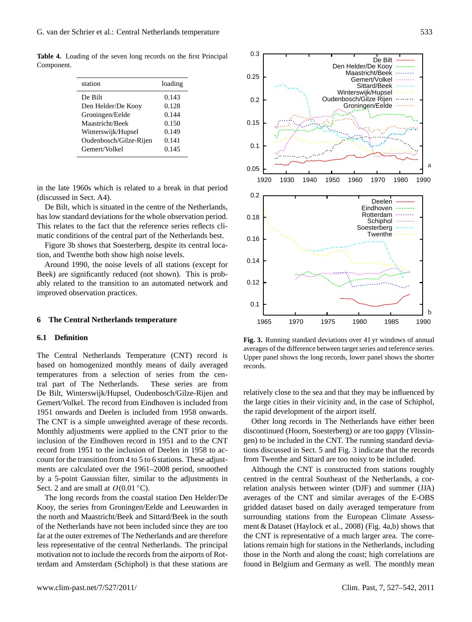**Table 4.** Loading of the seven long records on the first Principal Component.

<span id="page-6-0"></span>

| station                | loading |
|------------------------|---------|
| De Bilt                | 0.143   |
| Den Helder/De Kooy     | 0.128   |
| Groningen/Eelde        | 0.144   |
| Maastricht/Beek        | 0.150   |
| Winterswijk/Hupsel     | 0.149   |
| Oudenbosch/Gilze-Rijen | 0.141   |
| Gemert/Volkel          | 0.145   |

in the late 1960s which is related to a break in that period (discussed in Sect. A4).

De Bilt, which is situated in the centre of the Netherlands, has low standard deviations for the whole observation period. This relates to the fact that the reference series reflects climatic conditions of the central part of the Netherlands best.

Figure [3b](#page-6-1) shows that Soesterberg, despite its central location, and Twenthe both show high noise levels.

Around 1990, the noise levels of all stations (except for Beek) are significantly reduced (not shown). This is probably related to the transition to an automated network and improved observation practices.

#### **6 The Central Netherlands temperature**

## **6.1 Definition**

The Central Netherlands Temperature (CNT) record is based on homogenized monthly means of daily averaged temperatures from a selection of series from the central part of The Netherlands. These series are from De Bilt, Winterswijk/Hupsel, Oudenbosch/Gilze-Rijen and Gemert/Volkel. The record from Eindhoven is included from 1951 onwards and Deelen is included from 1958 onwards. The CNT is a simple unweighted average of these records. Monthly adjustments were applied to the CNT prior to the inclusion of the Eindhoven record in 1951 and to the CNT record from 1951 to the inclusion of Deelen in 1958 to account for the transition from 4 to 5 to 6 stations. These adjustments are calculated over the 1961–2008 period, smoothed by a 5-point Gaussian filter, similar to the adjustments in Sect. [2](#page-1-1) and are small at  $O(0.01 \degree C)$ .

The long records from the coastal station Den Helder/De Kooy, the series from Groningen/Eelde and Leeuwarden in the north and Maastricht/Beek and Sittard/Beek in the south of the Netherlands have not been included since they are too far at the outer extremes of The Netherlands and are therefore less representative of the central Netherlands. The principal motivation not to include the records from the airports of Rotterdam and Amsterdam (Schiphol) is that these stations are



<span id="page-6-1"></span>**Fig. 3.** Running standard deviations over 41 yr windows of annual averages of the difference between target series and reference series. averages of the difference between target series and reference series. Upper panel shows the long records, lower panel shows the shorter Upper panel shows the long records, lower panel shows the shorter records. records. **Fig. 3.** Running standard deviations over 41 yr windows of annual

relatively close to the sea and that they may be influenced by the rapid development of the airport itself. the large cities in their vicinity and, in the case of Schiphol,

discontinued (Hoorn, Soesterberg) or are too gappy (Vlissingen) to be included in the CNT. The running standard deviations discussed in Sect. 5 and Fig. 3 indicate that the records from Twenthe and Sittard are too noisy to be included. Other long records in The Netherlands have either been

Although the CNT is constructed from stations roughly centred in the central Southeast of the Netherlands, a correlation analysis between winter (DJF) and summer (JJA) averages of the CNT and similar averages of the E-OBS gridded dataset based on daily averaged temperature from surrounding stations from the European Climate Assess-ment & Dataset [\(Haylock et al.,](#page-14-6) [2008\)](#page-14-6) (Fig. [4a](#page-7-0),b) shows that the CNT is representative of a much larger area. The correlations remain high for stations in the Netherlands, including those in the North and along the coast; high correlations are small at O(0.01°C). The monthly mean found in Belgium and Germany as well. The monthly mean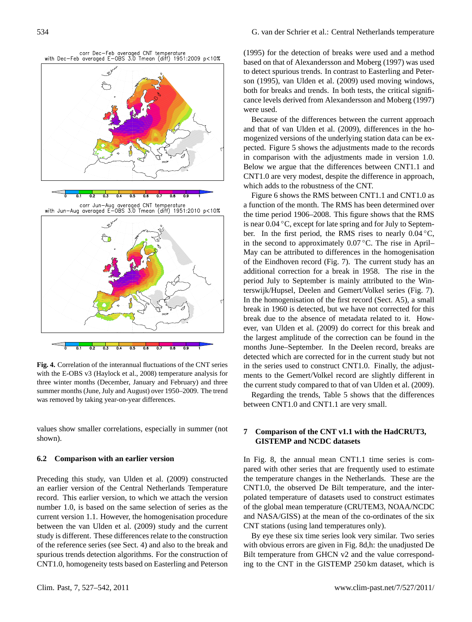

<span id="page-7-0"></span>Fig. 4. Correlation of the interannual fluctuations of the CNT series with the E-OBS v3 (Haylock et al., 2008) temperature analysis for with the E-OBS v3 [\(Haylock et al.,](#page-14-6) [2008\)](#page-14-6) temperature analysis for three winter months (December, January and February) and three three winter months (December, January and February) and three summer months (June, July and August) over 1950–09. The trend summer months (June, July and August) over 1950–2009. The trend was removed by taking year-on-year differences. was removed by taking year-on-year differences.

values show smaller correlations, especially in summer (not shown).

## **6.2 Comparison with an earlier version**

Preceding this study, [van Ulden et al.](#page-15-0) [\(2009\)](#page-15-0) constructed an earlier version of the Central Netherlands Temperature record. This earlier version, to which we attach the version number 1.0, is based on the same selection of series as the current version 1.1. However, the homogenisation procedure between the [van Ulden et al.](#page-15-0) [\(2009\)](#page-15-0) study and the current study is different. These differences relate to the construction of the reference series (see Sect. [4\)](#page-4-0) and also to the break and spurious trends detection algorithms. For the construction of CNT1.0, homogeneity tests based on [Easterling and Peterson](#page-14-2)

[\(1995\)](#page-14-2) for the detection of breaks were used and a method based on that of [Alexandersson and Moberg](#page-14-7) [\(1997\)](#page-14-7) was used to detect spurious trends. In contrast to [Easterling and Peter](#page-14-2)to detect sparrous trends. In contrast to Eastering and  $(1005)$ [son](#page-14-2) [\(1995\)](#page-14-2), [van Ulden et al.](#page-15-0) [\(2009\)](#page-15-0) used moving windows, both for breaks and trends. In both tests, the critical signifi-cance levels derived from [Alexandersson and Moberg](#page-14-7) [\(1997\)](#page-14-7) were used.

Because of the differences between the current approach and that of [van Ulden et al.](#page-15-0) [\(2009\)](#page-15-0), differences in the homogenized versions of the underlying station data can be ex-pected. Figure [5](#page-8-0) shows the adjustments made to the records in comparison with the adjustments made in version 1.0. Below we argue that the differences between CNT1.1 and CNT1.0 are very modest, despite the difference in approach, which adds to the robustness of the CNT.

Figure [6](#page-9-0) shows the RMS between CNT1.1 and CNT1.0 as I figure 5 shows the ranks between CNT1.1 and CNT1.6 as is near 0.04 ℃, except for late spring and for July to September. In the first period, the RMS rises to nearly 0.04 °C, May can be attributed to differences in the homogenisation of the Eindhoven record (Fig. [7\)](#page-9-1). The current study has an additional correction for a break in 1958. The rise in the period July to September is mainly attributed to the Win-terswijk/Hupsel, Deelen and Gemert/Volkel series (Fig. [7\)](#page-9-1). In the homogenisation of the first record (Sect. A5), a small heak in 1960 is detected, but we have not corrected for this break in 1700 is detected, out we have not corrected for this break due to the absence of metadata related to it. Howbreak due to the absence of including related to h ever, [van Ulden et al.](#page-15-0) [\(2009\)](#page-15-0) do correct for this break and the largest amplitude of the correction can be found in the months June–September. In the Deelen record, breaks are detected which are corrected for in the current study but not in the series used to construct CNT1.0. Finally, the adjustments to the Gemert/Volkel record are slightly different in the current study compared to that of [van Ulden et al.](#page-15-0) [\(2009\)](#page-15-0). the time period 1906–2008. This figure shows that the RMS in the second to approximately  $0.07 \degree C$ . The rise in April–

Regarding the trends, Table 5 shows t[ha](#page-9-2)t the differences between CNT1.0 and CNT1.1 are very small. imum and maximum temperatures were recorded next to the

## 7 Comparison of the CNT v1.1 with the HadCRUT3, the temperature at De Bilt (and the other main stations) were **GISTEMP and NCDC datasets** made. These hourly estimates are used in the current study.

 $H_1$ ,  $\overline{H}^*$ , only the three daily measurement (excluding three daily the three daily the theorem In Fig. [8,](#page-10-0) the annual mean CNT1.1 time series is compared with other series that are frequently used to estimate the temperature changes in the Netherlands. These are the CNT1.0, the observed De Bilt temperature, and the interpolated temperature of datasets used to construct estimates of the global mean temperature (CRUTEM3, NOAA/NCDC and NASA/GISS) at the mean of the co-ordinates of the six CNT stations (using land temperatures only).

By eye these six time series look very similar. Two series with obvious errors are given in Fig. [8d](#page-10-0),h: the unadjusted De Bilt temperature from GHCN v2 and the value corresponding to the CNT in the GISTEMP 250 km dataset, which is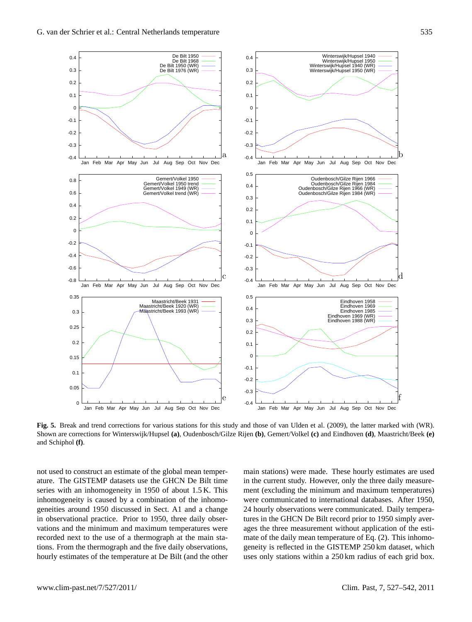

<span id="page-8-0"></span>Fig. 5. Break and trend corrections for various stations for this study and those of [van Ulden et al.](#page-15-0) [\(2009\)](#page-15-0), the latter marked with (WR). Shown are corrections for Winterswijk/Hupsel (a), Oudenbosch/Gilze Rijen (b), Gemert/Volkel (c) and Eindhoven (d), Maastricht/Beek (e) and Schiphol (f). and Schiphol **(f)**.

1906–1919 1919 1920–1920<br>1906–1920 1920–1920 1920–1920 1920–1920 not used to construct an estimate of the global mean temper-<br>ma ature. The GISTEMP datasets use the GHCN De Bilt time i series with an inhomogeneity in 1950 of about 1.5 K. This r inhomogeneity is caused by a combination of the inhomogeneities around 1950 discussed in Sect. A1 and a change 2 in observational practice. Prior to 1950, three daily obser-<br>in the GHCN De Bilt record prior to 1950 simply and automnised over the space of the summer without analization of the vacions and the infinitum and maximum temperatures were<br>recorded next to the use of a thermograph at the main stavations and the minimum and maximum temperatures were tions. From the thermograph and the five daily observations, hourly estimates of the temperature at De Bilt (and the other

main stations) were made. These hourly estimates are used in the current study. However, only the three daily measurement (excluding the minimum and maximum temperatures) were communicated to international databases. After 1950, 24 hourly observations were communicated. Daily temperatures in the GHCN De Bilt record prior to 1950 simply averages the three measurement without application of the estimate of the daily mean temperature of Eq. [\(2\)](#page-2-2). This inhomogeneity is reflected in the GISTEMP 250 km dataset, which uses only stations within a 250 km radius of each grid box.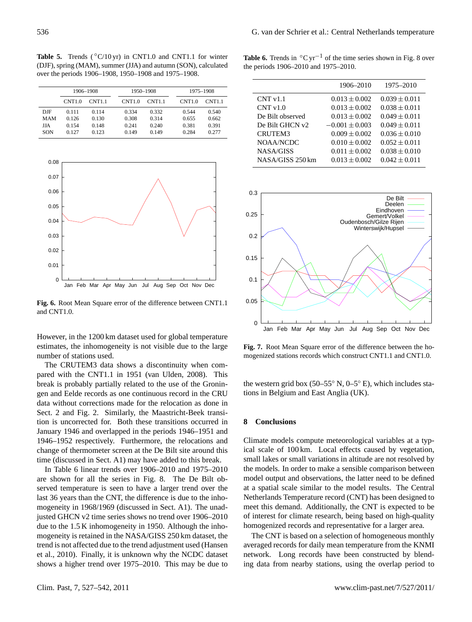<span id="page-9-2"></span>Table 5. Trends ( $°C/10 \text{ yr}$ ) in CNT1.0 and CNT1.1 for winter (DJF), spring (MAM), summer (JJA) and autumn (SON), calculated over the periods 1906–1908, 1950–1908 and 1975–1908.

|            | 1906-1908 |        |        | 1950-1908          |        | 1975-1908 |  |
|------------|-----------|--------|--------|--------------------|--------|-----------|--|
|            | CNT1.0    | CNT1.1 | CNT1.0 | CNT <sub>1.1</sub> | CNT1.0 | CNT1.1    |  |
| <b>DJF</b> | 0.111     | 0.114  | 0.334  | 0.332              | 0.544  | 0.540     |  |
| <b>MAM</b> | 0.126     | 0.130  | 0.308  | 0.314              | 0.655  | 0.662     |  |
| <b>JJA</b> | 0.154     | 0.148  | 0.241  | 0.240              | 0.381  | 0.391     |  |
| SON        | 0.127     | 0.123  | 0.149  | 0.149              | 0.284  | 0.277     |  |



<span id="page-9-0"></span>**Fig. 6.** Root Mean Square error of the difference between CNT1.1 **Fig. 6.** Root Mean Square error of the difference between CNT1.1 and CNT1.0. and CNT1.0.

estimates, the inhomogeneity is not visible due to the large However, in the 1200 km dataset used for global temperature number of stations used.

change of thermometer screen at the De Bilt site around this January 1946 and overlapped in the periods 1946–1951 and 0.1 Sect. [2](#page-1-1) and Fig. [2.](#page-3-1) Similarly, the Maastricht-Beek transibreak is probably partially related to the use of the Gronin- $\overline{1}$ The CRUTEM3 data shows a discontinuity when compared with the CNT1.1 in 1951 [\(van Ulden,](#page-15-8) [2008\)](#page-15-8). This gen and Eelde records as one continuous record in the CRU data without corrections made for the relocation as done in tion is uncorrected for. Both these transitions occurred in 1946–1952 respectively. Furthermore, the relocations and time (discussed in Sect. A1) may have added to this break.  $\mathbf{B}_{\rm eff}$  record prior to 1950 simply averages the three measure-measure-measure-measure-measure-measure-measure-measure-measure-measure-measure-measure-measure-measure-measure-measure-measure-measure-measure-measure-m

In Table 6 linear trends over 1906–2010 and 1975–2010 are shown for all the series in Fig. [8.](#page-10-0) The De Bilt obmogeneity in 1968/1969 (discussed in Sect. A1). The unadjusted GHCN v2 time series shows no trend over 1906–2010 due to the 1.5 K inhomogeneity in 1950. Although the inho- $\frac{1}{2}$  means with the estimation of the NA CA/CICC 2501 in data on mogeneity is retained in the NASA/GISS 250 km dataset, the trend is not affected due to the trend adjustment used [\(Hansen](#page-14-8) [et al.,](#page-14-8) [2010\)](#page-14-8). Finally, it is unknown why the NCDC dataset shows a higher trend over 1975–2010. This may be due to served temperature is seen to have a larger trend over the last 36 years than the CNT, the difference is due to the inho-

<span id="page-9-3"></span>**Table 6.** Trends in  $\textdegree C$  yr<sup>-1</sup> of the time series shown in Fig. [8](#page-10-0) over the periods 1906–2010 and 1975–2010.

|            |        | 1906-1908 |        | 1950-1908 |        | 1975-1908     |                  | 1906–2010          |
|------------|--------|-----------|--------|-----------|--------|---------------|------------------|--------------------|
|            | CNT1.0 | CNT1.1    | CNT1.0 | CNT1.1    | CNT1.0 | <b>CNT1.1</b> | CNT v1.1         | $0.013 \pm 0.002$  |
| DJF        | 0.111  | 0.114     | 0.334  | 0.332     | 0.544  | 0.540         | CNT v1.0         | $0.013 \pm 0.002$  |
| <b>MAM</b> | 0.126  | 0.130     | 0.308  | 0.314     | 0.655  | 0.662         | De Bilt observed | $0.013 \pm 0.002$  |
| <b>JJA</b> | 0.154  | 0.148     | 0.241  | 0.240     | 0.381  | 0.391         | De Bilt GHCN v2  | $-0.001 \pm 0.003$ |
| SON        | 0.127  | 0.123     | 0.149  | 0.149     | 0.284  | 0.277         | <b>CRUTEM3</b>   | $0.009 \pm 0.002$  |
|            |        |           |        |           |        |               | NOAA/NCDC        | $0.010 \pm 0.002$  |
|            |        |           |        |           |        |               | NASA/GISS        | $0.011 \pm 0.002$  |
| 0.08       |        |           |        |           |        |               | NASA/GISS 250 km | $0.013 \pm 0.002$  |



<span id="page-9-1"></span>**Fig. 7.** Root Mean Square error of the difference between the homogenized stations records which construct CNT1.1 and CNT1.0.

the western grid box (50–55° N, 0–5° E), which includes stations in Belgium and East Anglia (UK).

#### 8 Conclusions  $\mathbb{R}$  and the estimate of the estimate of the estimate of the daily means  $\mathbb{R}$ the contrastons of  $\mathcal{L}_{\text{untrivial}}$

**8 Conclusions** compute increased grad and the 130 km radius call scale of 100 km. Local effects caused by vegetation, the models. In order to make a sensible comparison between model output and observations, the latter need to be defined at a spatial scale similar to the model results. The Central Netherlands Temperature record (CNT) has been designed to meet this demand. Additionally, the CNT is expected to be of interest for climate research, being based on high-quality homogenized records and representative for a larger area. climate models compute meteorological variables at a typand state the estimation for global temperature estimates, the inused.

mediated to be started to be problemantly for a higher and  $\frac{1}{2}$ . The CNT is based on a selection of homogeneous monthly  $\frac{1}{2}$  interest for climate research, being based on high-quality based on  $\frac{1}{2}$ averaged records for daily mean temperature from the KNMI  $T_{\text{t}}$  is a set of the control of  $T_{\text{t}}$  is a set of homogeneous monthly monthly monthly monthly monthly monthly monthly monthly monthly monthly monthly monthly monthly monthly monthly monthly monthly monthly monthl ing data from nearby stations, using the overlap period to network. Long records have been constructed by blend-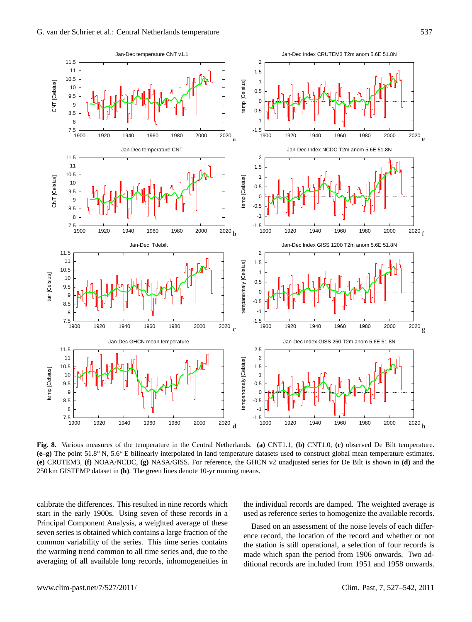

<span id="page-10-0"></span>Fig. 8. Various measures of the temperature in the Central Netherlands. (a) CNT1.1, (b) CNT1.0, (c) observed De Bilt temperature. rig. o. various measures of the temperature in the Central Netherlands. (a) CN11.1, (b) CN11.0, (c) observed De Bilt temperature.<br>(e-g) The point 51.8° N, 5.6° E bilinearly interpolated in land temperature datasets used to (e) CRUTEM3, (f) NOAA/NCDC, (g) NASA/GISS. For reference, the GHCN v2 unadjusted series for De Bilt is shown in (d) and the dataset in (h). The green lines denote 10-yr running means. 250 km GISTEMP dataset in **(h)**. The green lines denote 10-yr running means.

calibrate the differences. This resulted in nine records which start in the early 1900s. Using seven of these records in a Principal Component Analysis, a weighted average of these seven series is obtained which contains a large fraction of the common variability of the series. This time series contains the warming trend common to all time series and, due to the averaging of all available long records, inhomogeneities in the individual records are damped. The weighted average is used as reference series to homogenize the available records.

Based on an assessment of the noise levels of each difference record, the location of the record and whether or not the station is still operational, a selection of four records is made which span the period from 1906 onwards. Two additional records are included from 1951 and 1958 onwards.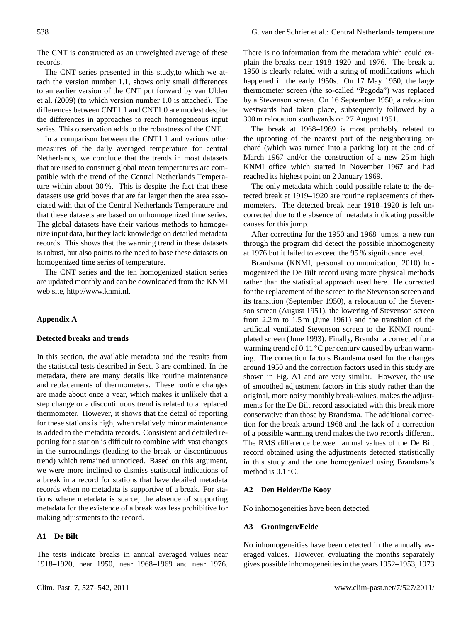The CNT is constructed as an unweighted average of these records.

The CNT series presented in this study,to which we attach the version number 1.1, shows only small differences to an earlier version of the CNT put forward by [van Ulden](#page-15-0) [et al.](#page-15-0) [\(2009\)](#page-15-0) (to which version number 1.0 is attached). The differences between CNT1.1 and CNT1.0 are modest despite the differences in approaches to reach homogeneous input series. This observation adds to the robustness of the CNT.

In a comparison between the CNT1.1 and various other measures of the daily averaged temperature for central Netherlands, we conclude that the trends in most datasets that are used to construct global mean temperatures are compatible with the trend of the Central Netherlands Temperature within about 30 %. This is despite the fact that these datasets use grid boxes that are far larger then the area associated with that of the Central Netherlands Temperature and that these datasets are based on unhomogenized time series. The global datasets have their various methods to homogenize input data, but they lack knowledge on detailed metadata records. This shows that the warming trend in these datasets is robust, but also points to the need to base these datasets on homogenized time series of temperature.

The CNT series and the ten homogenized station series are updated monthly and can be downloaded from the KNMI web site, [http://www.knmi.nl.](http://www.knmi.nl)

## **Appendix A**

## **Detected breaks and trends**

In this section, the available metadata and the results from the statistical tests described in Sect. [3](#page-3-2) are combined. In the metadata, there are many details like routine maintenance and replacements of thermometers. These routine changes are made about once a year, which makes it unlikely that a step change or a discontinuous trend is related to a replaced thermometer. However, it shows that the detail of reporting for these stations is high, when relatively minor maintenance is added to the metadata records. Consistent and detailed reporting for a station is difficult to combine with vast changes in the surroundings (leading to the break or discontinuous trend) which remained unnoticed. Based on this argument, we were more inclined to dismiss statistical indications of a break in a record for stations that have detailed metadata records when no metadata is supportive of a break. For stations where metadata is scarce, the absence of supporting metadata for the existence of a break was less prohibitive for making adjustments to the record.

## **A1 De Bilt**

The tests indicate breaks in annual averaged values near 1918–1920, near 1950, near 1968–1969 and near 1976. There is no information from the metadata which could explain the breaks near 1918–1920 and 1976. The break at 1950 is clearly related with a string of modifications which happened in the early 1950s. On 17 May 1950, the large thermometer screen (the so-called "Pagoda") was replaced by a Stevenson screen. On 16 September 1950, a relocation westwards had taken place, subsequently followed by a 300 m relocation southwards on 27 August 1951.

The break at 1968–1969 is most probably related to the uprooting of the nearest part of the neighbouring orchard (which was turned into a parking lot) at the end of March 1967 and/or the construction of a new 25 m high KNMI office which started in November 1967 and had reached its highest point on 2 January 1969.

The only metadata which could possible relate to the detected break at 1919–1920 are routine replacements of thermometers. The detected break near 1918–1920 is left uncorrected due to the absence of metadata indicating possible causes for this jump.

After correcting for the 1950 and 1968 jumps, a new run through the program did detect the possible inhomogeneity at 1976 but it failed to exceed the 95 % significance level.

Brandsma (KNMI, personal communication, 2010) homogenized the De Bilt record using more physical methods rather than the statistical approach used here. He corrected for the replacement of the screen to the Stevenson screen and its transition (September 1950), a relocation of the Stevenson screen (August 1951), the lowering of Stevenson screen from 2.2 m to 1.5 m (June 1961) and the transition of the artificial ventilated Stevenson screen to the KNMI roundplated screen (June 1993). Finally, Brandsma corrected for a warming trend of 0.11 °C per century caused by urban warming. The correction factors Brandsma used for the changes around 1950 and the correction factors used in this study are shown in Fig. [A1](#page-12-0) and are very similar. However, the use of smoothed adjustment factors in this study rather than the original, more noisy monthly break-values, makes the adjustments for the De Bilt record associated with this break more conservative than those by Brandsma. The additional correction for the break around 1968 and the lack of a correction of a possible warming trend makes the two records different. The RMS difference between annual values of the De Bilt record obtained using the adjustments detected statistically in this study and the one homogenized using Brandsma's method is 0.1 ◦C.

## **A2 Den Helder/De Kooy**

No inhomogeneities have been detected.

## **A3 Groningen/Eelde**

No inhomogeneities have been detected in the annually averaged values. However, evaluating the months separately gives possible inhomogeneities in the years 1952–1953, 1973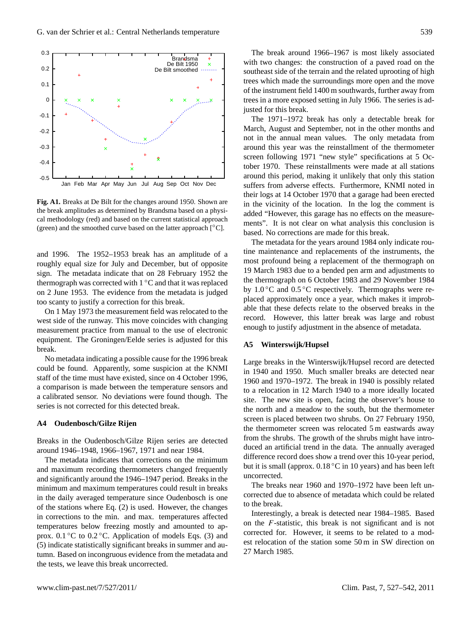

<span id="page-12-0"></span>**Fig. A1.** Breaks at De Bilt for the changes around 1950. Shown are **Fig. A1.** Breaks at De Bilt for the changes around 1950. Shown are the break amplitudes as determined by Brandsma based on a physi-the break amplitudes as determined by Brandsma based on a physical methodology (red) and based on the current statistical approach cal methodology (red) and based on the current statistical approach (green) and the smoothed curve based on the latter approach [◦C]. (green) and the smoothed curve based on the latter approach [◦C].

and 1996. The  $1952-1953$  break has an amplitude of a roughly equal size for July and December, but of opposite  $\frac{1}{2}$ sign. The metadata indicate that on 28 February 1952 the thermograph was corrected with  $1 °C$  and that it was replaced on 2 June 1953. The evidence from the metadata is judged too scanty to justify a correction for this break.

On 1 May 1973 the measurement field was relocated to the west side of the runway. This move coincides with changing measurement practice from manual to the use of electronic equipment. The Groningen/Eelde series is adjusted for this than the by  $B = \frac{1}{2}$  of the additional correction for the additional correction for the  $\frac{1}{2}$  of the correction for the correction for the correction for the correction for the correction of the correction for the break.

No metadata indicating a possible cause for the 1996 break<br>111 a correction of a possible cause for the 1996 break simulation at the KNMI could be found. Apparently, some suspicion at the KNMI staff of the time must have existed, since on 4 October 1996,  $\alpha$  comparison is made octween the temperature sensors and  $\alpha$ a calibrated sensor. No deviations were found though. The series is not corrected for this detected break. a comparison is made between the temperature sensors and

#### **A4 Oudenbosch/Gilze Rijen**

around 1946–1948, 1966–1967, 1971 and near 1984. Breaks in the Oudenbosch/Gilze Rijen series are detected

and maximum recording thermometers changed frequently Infimition and maximum temperatures could result in organism In the darry averaged dimperature since Suddhoosen is one<br>of the stations where Eq. [\(2\)](#page-2-2) is used. However, the changes in corrections to the min. and max. temperatures affected temperatures below freezing mostly and amounted to apfor  $\mu$  prox. 0.1 °C to 0.2 °C. Application of models Eqs. [\(3\)](#page-4-1) and  $\frac{1}{2}$  indicate statistically significant breaks in summer and autumn. Based on incongruous evidence from the metadata and altumn. the tests, we leave this break uncorrected. the tests, we fear this speak theo The metadata indicates that corrections on the minimum and significantly around the 1946–1947 period. Breaks in the minimum and maximum temperatures could result in breaks

The break around 1966–1967 is most likely associated with two changes: the construction of a paved road on the southeast side of the terrain and the related uprooting of high trees which made the surroundings more open and the move of the instrument field 1400 m southwards, further away from trees in a more exposed setting in July 1966. The series is adjusted for this break.

The 1971–1972 break has only a detectable break for March, August and September, not in the other months and not in the annual mean values. The only metadata from around this year was the reinstallment of the thermometer screen following 1971 "new style" specifications at 5 October 1970. These reinstallments were made at all stations around this period, making it unlikely that only this station suffers from adverse effects. Furthermore, KNMI noted in their logs at 14 October 1970 that a garage had been erected in the vicinity of the location. In the log the comment is added "However, this garage has no effects on the measurements". It is not clear on what analysis this conclusion is based. No corrections are made for this break.

The metadata for the years around 1984 only indicate routine maintenance and replacements of the instruments, the most profound being a replacement of the thermograph on 19 March 1983 due to a bended pen arm and adjustments to the thermograph on 6 October 1983 and 29 November 1984 by  $1.0\,^{\circ}\text{C}$  and  $0.5\,^{\circ}\text{C}$  respectively. Thermographs were replaced approximately once a year, which makes it improbable that these defects relate to the observed breaks in the record. However, this latter break was large and robust enough to justify adjustment in the absence of metadata.

#### **A5 Winterswijk/Hupsel**

Large breaks in the Winterswijk/Hupsel record are detected in 1940 and 1950. Much smaller breaks are detected near 1960 and 1970–1972. The break in 1940 is possibly related to a relocation in 12 March 1940 to a more ideally located site. The new site is open, facing the observer's house to the north and a meadow to the south, but the thermometer screen is placed between two shrubs. On 27 February 1950, the thermometer screen was relocated 5 m eastwards away from the shrubs. The growth of the shrubs might have introduced an artificial trend in the data. The annually averaged difference record does show a trend over this 10-year period, but it is small (approx.  $0.18\degree C$  in 10 years) and has been left uncorrected.

The breaks near 1960 and 1970–1972 have been left uncorrected due to absence of metadata which could be related to the break.

Interestingly, a break is detected near 1984–1985. Based on the F-statistic, this break is not significant and is not corrected for. However, it seems to be related to a modest relocation of the station some 50 m in SW direction on 27 March 1985.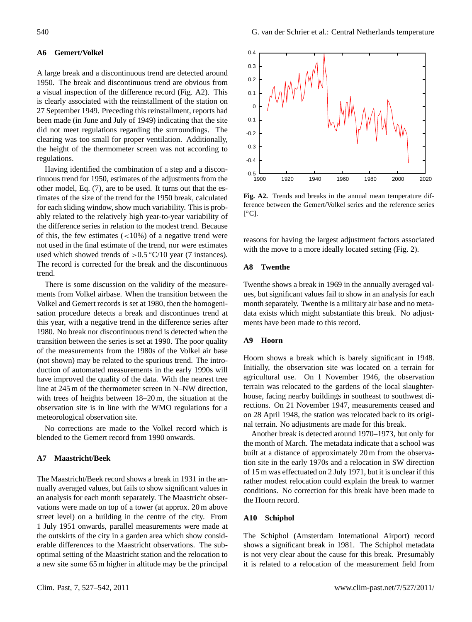## **A6 Gemert/Volkel**

A large break and a discontinuous trend are detected around 1950. The break and discontinuous trend are obvious from a visual inspection of the difference record (Fig. [A2\)](#page-13-0). This is clearly associated with the reinstallment of the station on 27 September 1949. Preceding this reinstallment, reports had been made (in June and July of 1949) indicating that the site did not meet regulations regarding the surroundings. The clearing was too small for proper ventilation. Additionally, the height of the thermometer screen was not according to regulations.

Having identified the combination of a step and a discontinuous trend for 1950, estimates of the adjustments from the other model, Eq. [\(7\)](#page-4-3), are to be used. It turns out that the estimates of the size of the trend for the 1950 break, calculated for each sliding window, show much variability. This is probably related to the relatively high year-to-year variability of the difference series in relation to the modest trend. Because of this, the few estimates  $\left($ <10%) of a negative trend were not used in the final estimate of the trend, nor were estimates used which showed trends of  $> 0.5$  °C/10 year (7 instances). The record is corrected for the break and the discontinuous trend.

There is some discussion on the validity of the measurements from Volkel airbase. When the transition between the Volkel and Gemert records is set at 1980, then the homogenisation procedure detects a break and discontinues trend at this year, with a negative trend in the difference series after 1980. No break nor discontinuous trend is detected when the transition between the series is set at 1990. The poor quality of the measurements from the 1980s of the Volkel air base (not shown) may be related to the spurious trend. The introduction of automated measurements in the early 1990s will have improved the quality of the data. With the nearest tree line at 245 m of the thermometer screen in N–NW direction, with trees of heights between 18–20 m, the situation at the observation site is in line with the WMO regulations for a meteorological observation site.

No corrections are made to the Volkel record which is blended to the Gemert record from 1990 onwards.

## **A7 Maastricht/Beek**

The Maastricht/Beek record shows a break in 1931 in the annually averaged values, but fails to show significant values in an analysis for each month separately. The Maastricht observations were made on top of a tower (at approx. 20 m above street level) on a building in the centre of the city. From 1 July 1951 onwards, parallel measurements were made at the outskirts of the city in a garden area which show considerable differences to the Maastricht observations. The suboptimal setting of the Maastricht station and the relocation to a new site some 65 m higher in altitude may be the principal



<span id="page-13-0"></span>**Fig. A2.** Trends and breaks in the annual mean temperature dif-**Fig. A2.** Trends and breaks in the annual mean temperature difference between the Gemert/Volkel series and the reference series ference between the Gemert/Volkel series and the reference series  $[°C]$ .

reasons for having the largest adjustment factors associated with the move to a more ideally located setting (Fig. 2).

#### **A8 Twenthe**

Twenthe shows a break in 1969 in the annually averaged values, but significant values fail to show in an analysis for each month separately. Twenthe is a military air base and no metadata exists which might substantiate this break. No adjustments have been made to this record.

## orological observation site. **A9 Hoorn**

Hoorn shows a break which is barely significant in 1948. agricultural use. On 1 November 1946, the observation house, facing nearby buildings in southeast to southwest directions. On 21 November 1947, measurements ceased and on 28 April 1948, the station was relocated back to its original terrain. No adjustments are made for this break. Initially, the observation site was located on a terrain for terrain was relocated to the gardens of the local slaughter-

Another break is detected around 1970–1973, but only for the month of March. The metadata indicate that a school was built at a distance of approximately 20 m from the observation site in the early 1970s and a relocation in SW direction of 15 m was effectuated on 2 July 1971, but it is unclear if this rather modest relocation could explain the break to warmer conditions. No correction for this break have been made to the Hoorn record.

## A10 Schiphol

The Schiphol (Amsterdam International Airport) record shows a significant break in 1981. The Schiphol metadata is not very clear about the cause for this break. Presumably it is related to a relocation of the measurement field from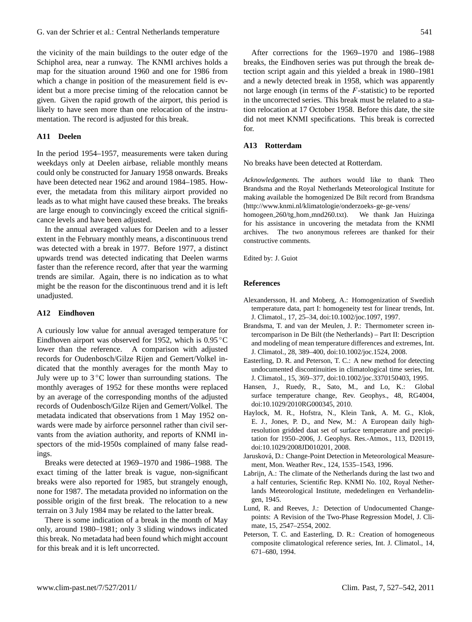the vicinity of the main buildings to the outer edge of the Schiphol area, near a runway. The KNMI archives holds a map for the situation around 1960 and one for 1986 from which a change in position of the measurement field is evident but a more precise timing of the relocation cannot be given. Given the rapid growth of the airport, this period is likely to have seen more than one relocation of the instrumentation. The record is adjusted for this break.

## **A11 Deelen**

In the period 1954–1957, measurements were taken during weekdays only at Deelen airbase, reliable monthly means could only be constructed for January 1958 onwards. Breaks have been detected near 1962 and around 1984–1985. However, the metadata from this military airport provided no leads as to what might have caused these breaks. The breaks are large enough to convincingly exceed the critical significance levels and have been adjusted.

In the annual averaged values for Deelen and to a lesser extent in the February monthly means, a discontinuous trend was detected with a break in 1977. Before 1977, a distinct upwards trend was detected indicating that Deelen warms faster than the reference record, after that year the warming trends are similar. Again, there is no indication as to what might be the reason for the discontinuous trend and it is left unadjusted.

## **A12 Eindhoven**

A curiously low value for annual averaged temperature for Eindhoven airport was observed for 1952, which is 0.95 ◦C lower than the reference. A comparison with adjusted records for Oudenbosch/Gilze Rijen and Gemert/Volkel indicated that the monthly averages for the month May to July were up to  $3^{\circ}$ C lower than surrounding stations. The monthly averages of 1952 for these months were replaced by an average of the corresponding months of the adjusted records of Oudenbosch/Gilze Rijen and Gemert/Volkel. The metadata indicated that observations from 1 May 1952 onwards were made by airforce personnel rather than civil servants from the aviation authority, and reports of KNMI inspectors of the mid-1950s complained of many false readings.

Breaks were detected at 1969–1970 and 1986–1988. The exact timing of the latter break is vague, non-significant breaks were also reported for 1985, but strangely enough, none for 1987. The metadata provided no information on the possible origin of the first break. The relocation to a new terrain on 3 July 1984 may be related to the latter break.

There is some indication of a break in the month of May only, around 1980–1981; only 3 sliding windows indicated this break. No metadata had been found which might account for this break and it is left uncorrected.

After corrections for the 1969–1970 and 1986–1988 breaks, the Eindhoven series was put through the break detection script again and this yielded a break in 1980–1981 and a newly detected break in 1958, which was apparently not large enough (in terms of the F-statistic) to be reported in the uncorrected series. This break must be related to a station relocation at 17 October 1958. Before this date, the site did not meet KNMI specifications. This break is corrected for.

## **A13 Rotterdam**

No breaks have been detected at Rotterdam.

*Acknowledgements.* The authors would like to thank Theo Brandsma and the Royal Netherlands Meteorological Institute for making available the homogenized De Bilt record from Brandsma [\(http://www.knmi.nl/klimatologie/onderzoeks-ge-ge-vens/](http://www.knmi.nl/klimatologie/onderzoeks-ge-ge-vens/homogeen_260/tg_hom_mnd260.txt)

homogeen 260/tg hom [mnd260.txt\)](http://www.knmi.nl/klimatologie/onderzoeks-ge-ge-vens/homogeen_260/tg_hom_mnd260.txt). We thank Jan Huizinga for his assistance in uncovering the metadata from the KNMI archives. The two anonymous referees are thanked for their constructive comments.

Edited by: J. Guiot

#### **References**

- <span id="page-14-7"></span>Alexandersson, H. and Moberg, A.: Homogenization of Swedish temperature data, part I: homogeneity test for linear trends, Int. J. Climatol., 17, 25–34, [doi:10.1002/joc.1097,](http://dx.doi.org/10.1002/joc.1097) 1997.
- <span id="page-14-1"></span>Brandsma, T. and van der Meulen, J. P.: Thermometer screen intercomparison in De Bilt (the Netherlands) – Part II: Description and modeling of mean temperature differences and extremes, Int. J. Climatol., 28, 389–400, [doi:10.1002/joc.1524,](http://dx.doi.org/10.1002/joc.1524) 2008.
- <span id="page-14-2"></span>Easterling, D. R. and Peterson, T. C.: A new method for detecting undocumented discontinuities in climatological time series, Int. J. Climatol., 15, 369–377, [doi:10.1002/joc.3370150403,](http://dx.doi.org/10.1002/joc.3370150403) 1995.
- <span id="page-14-8"></span>Hansen, J., Ruedy, R., Sato, M., and Lo, K.: Global surface temperature change, Rev. Geophys., 48, RG4004, [doi:10.1029/2010RG000345,](http://dx.doi.org/10.1029/2010RG000345) 2010.
- <span id="page-14-6"></span>Haylock, M. R., Hofstra, N., Klein Tank, A. M. G., Klok, E. J., Jones, P. D., and New, M.: A European daily highresolution gridded daat set of surface temperature and precipitation for 1950–2006, J. Geophys. Res.-Atmos., 113, D20119, [doi:10.1029/2008JD010201,](http://dx.doi.org/10.1029/2008JD010201) 2008.
- <span id="page-14-4"></span>Jarusková, D.: Change-Point Detection in Meteorological Measurement, Mon. Weather Rev., 124, 1535–1543, 1996.
- <span id="page-14-0"></span>Labrijn, A.: The climate of the Netherlands during the last two and a half centuries, Scientific Rep. KNMI No. 102, Royal Netherlands Meteorological Institute, mededelingen en Verhandelingen, 1945.
- <span id="page-14-3"></span>Lund, R. and Reeves, J.: Detection of Undocumented Changepoints: A Revision of the Two-Phase Regression Model, J. Climate, 15, 2547–2554, 2002.
- <span id="page-14-5"></span>Peterson, T. C. and Easterling, D. R.: Creation of homogeneous composite climatological reference series, Int. J. Climatol., 14, 671–680, 1994.